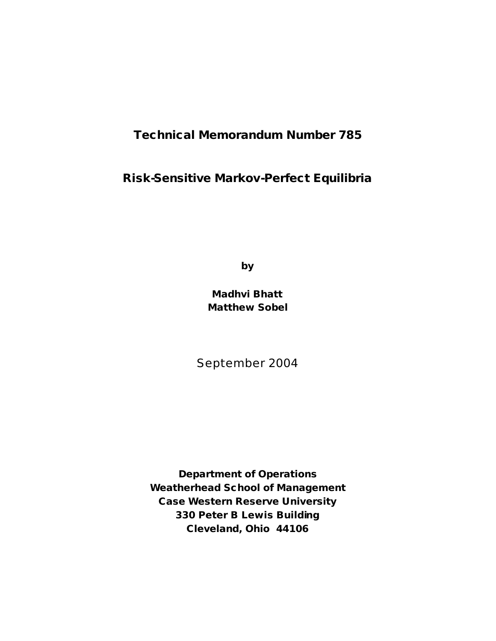# **Technical Memorandum Number 785**

## **Risk-Sensitive Markov-Perfect Equilibria**

**by**

**Madhvi Bhatt Matthew Sobel**

September 2004

**Department of Operations Weatherhead School of Management Case Western Reserve University 330 Peter B Lewis Building Cleveland, Ohio 44106**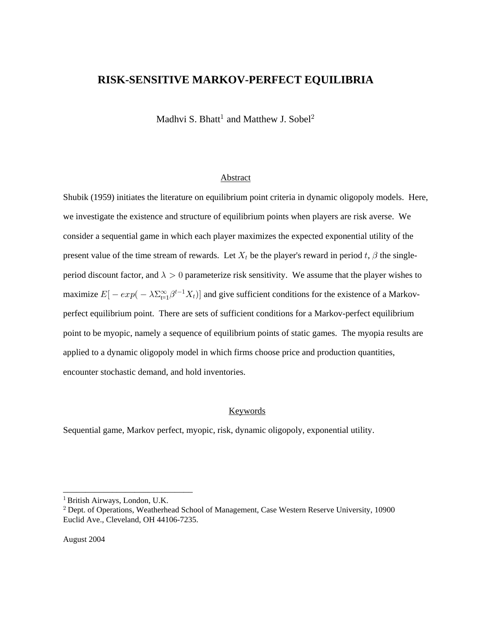## **RISK-SENSITIVE MARKOV-PERFECT EQUILIBRIA**

Madhvi S. Bhatt<sup>1</sup> and Matthew J. Sobel<sup>2</sup>

## Abstract

Shubik (1959) initiates the literature on equilibrium point criteria in dynamic oligopoly models. Here, we investigate the existence and structure of equilibrium points when players are risk averse. We consider a sequential game in which each player maximizes the expected exponential utility of the present value of the time stream of rewards. Let  $X_t$  be the player's reward in period t,  $\beta$  the singleperiod discount factor, and  $\lambda > 0$  parameterize risk sensitivity. We assume that the player wishes to maximize  $E[-exp(-\lambda \sum_{t=1}^{\infty} \beta^{t-1} X_t)]$  and give sufficient conditions for the existence of a Markovperfect equilibrium point. There are sets of sufficient conditions for a Markov-perfect equilibrium point to be myopic, namely a sequence of equilibrium points of static games. The myopia results are applied to a dynamic oligopoly model in which firms choose price and production quantities, encounter stochastic demand, and hold inventories.

## Keywords

Sequential game, Markov perfect, myopic, risk, dynamic oligopoly, exponential utility.

\_\_\_\_\_\_\_\_\_\_\_\_\_\_\_\_\_\_\_\_\_\_\_\_\_\_\_\_\_

<sup>&</sup>lt;sup>1</sup> British Airways, London, U.K.

<sup>&</sup>lt;sup>2</sup> Dept. of Operations, Weatherhead School of Management, Case Western Reserve University, 10900 Euclid Ave., Cleveland, OH 44106-7235.

August 2004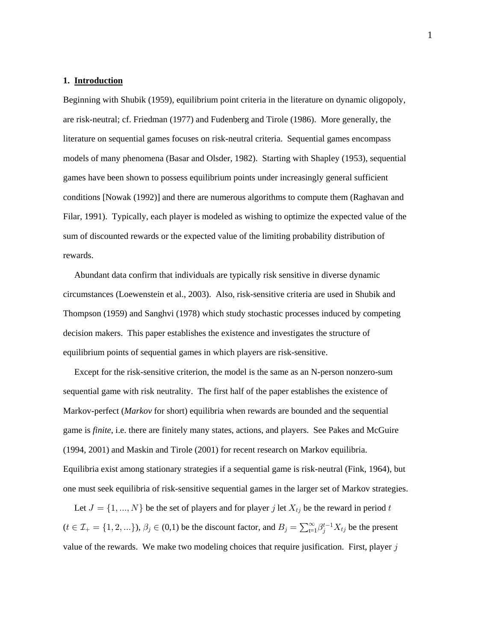#### **1. Introduction**

Beginning with Shubik (1959), equilibrium point criteria in the literature on dynamic oligopoly, are risk-neutral; cf. Friedman (1977) and Fudenberg and Tirole (1986). More generally, the literature on sequential games focuses on risk-neutral criteria. Sequential games encompass models of many phenomena (Basar and Olsder, 1982). Starting with Shapley (1953), sequential games have been shown to possess equilibrium points under increasingly general sufficient conditions [Nowak (1992)] and there are numerous algorithms to compute them (Raghavan and Filar, 1991). Typically, each player is modeled as wishing to optimize the expected value of the sum of discounted rewards or the expected value of the limiting probability distribution of rewards.

 Abundant data confirm that individuals are typically risk sensitive in diverse dynamic circumstances (Loewenstein et al., 2003). Also, risk-sensitive criteria are used in Shubik and Thompson (1959) and Sanghvi (1978) which study stochastic processes induced by competing decision makers. This paper establishes the existence and investigates the structure of equilibrium points of sequential games in which players are risk-sensitive.

 Except for the risk-sensitive criterion, the model is the same as an N-person nonzero-sum sequential game with risk neutrality. The first half of the paper establishes the existence of Markov-perfect (*Markov* for short) equilibria when rewards are bounded and the sequential game is *finite*, i.e. there are finitely many states, actions, and players. See Pakes and McGuire (1994, 2001) and Maskin and Tirole (2001) for recent research on Markov equilibria. Equilibria exist among stationary strategies if a sequential game is risk-neutral (Fink, 1964), but one must seek equilibria of risk-sensitive sequential games in the larger set of Markov strategies.

Let  $J = \{1, ..., N\}$  be the set of players and for player j let  $X_{tj}$  be the reward in period t  $(t \in \mathcal{I}_+ = \{1, 2, ...\}), \beta_j \in (0,1)$  be the discount factor, and  $B_j = \sum_{t=1}^{\infty} \beta_j^{t-1} X_{tj}$  be the present value of the rewards. We make two modeling choices that require jusification. First, player  $j$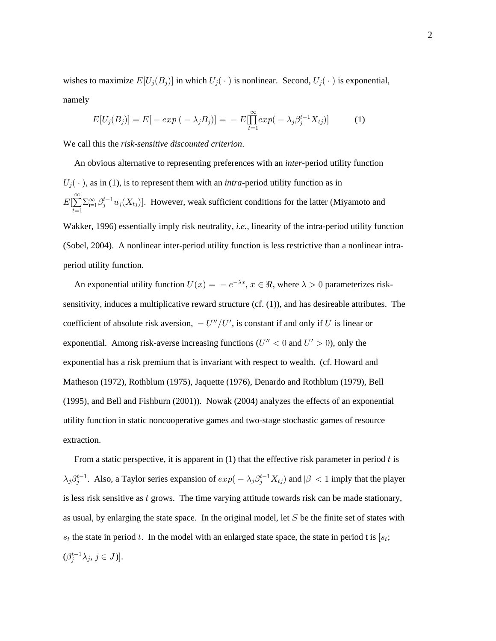wishes to maximize  $E[U_j(B_j)]$  in which  $U_j(\cdot)$  is nonlinear. Second,  $U_j(\cdot)$  is exponential, namely

$$
E[U_j(B_j)] = E[-\exp(-\lambda_j B_j)] = -E[\prod_{t=1}^{\infty} \exp(-\lambda_j \beta_j^{t-1} X_{tj})]
$$
(1)

We call this the *risk-sensitive discounted criterion*.

An obvious alternative to representing preferences with an *inter*-period utility function  $U_i(\cdot)$ , as in (1), is to represent them with an *intra*-period utility function as in  $E[\sum \sum_{t=1}^{\infty} \beta_i^{t-1} u_i(X_{tj})]$  $\sum_{t=1}^{\infty} \sum_{t=1}^{\infty} \beta_j^{t-1} u_j(X_{tj})$ . However, weak sufficient conditions for the latter (Miyamoto and Wakker, 1996) essentially imply risk neutrality, *i.e.*, linearity of the intra-period utility function (Sobel, 2004). A nonlinear inter-period utility function is less restrictive than a nonlinear intraperiod utility function.

An exponential utility function  $U(x) = -e^{-\lambda x}$ ,  $x \in \Re$ , where  $\lambda > 0$  parameterizes risksensitivity, induces a multiplicative reward structure (cf. (1)), and has desireable attributes. The coefficient of absolute risk aversion,  $- U''/U'$ , is constant if and only if U is linear or exponential. Among risk-averse increasing functions ( $U'' < 0$  and  $U' > 0$ ), only the exponential has a risk premium that is invariant with respect to wealth. (cf. Howard and Matheson (1972), Rothblum (1975), Jaquette (1976), Denardo and Rothblum (1979), Bell (1995), and Bell and Fishburn (2001)). Nowak (2004) analyzes the effects of an exponential utility function in static noncooperative games and two-stage stochastic games of resource extraction.

From a static perspective, it is apparent in  $(1)$  that the effective risk parameter in period t is  $\lambda_j \beta_j^{t-1}$ . Also, a Taylor series expansion of  $exp(-\lambda_j \beta_j^{t-1} X_{tj})$  and  $|\beta| < 1$  imply that the player is less risk sensitive as  $t$  grows. The time varying attitude towards risk can be made stationary, as usual, by enlarging the state space. In the original model, let  $S$  be the finite set of states with  $s_t$  the state in period t. In the model with an enlarged state space, the state in period t is  $[s_t;$  $(\beta_j^{t-1}\lambda_j, j\in J)].$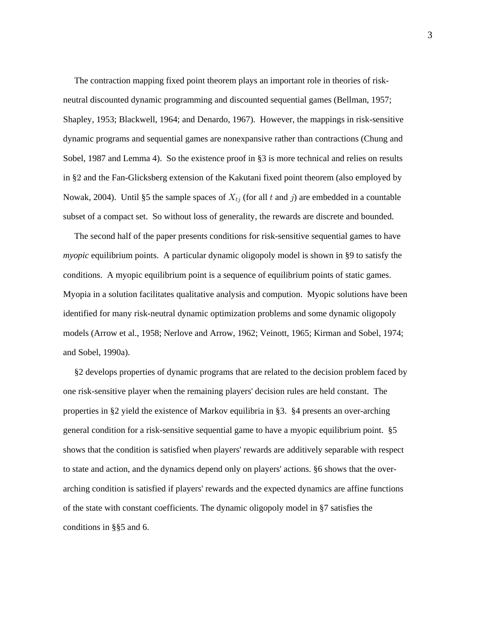The contraction mapping fixed point theorem plays an important role in theories of riskneutral discounted dynamic programming and discounted sequential games (Bellman, 1957; Shapley, 1953; Blackwell, 1964; and Denardo, 1967). However, the mappings in risk-sensitive dynamic programs and sequential games are nonexpansive rather than contractions (Chung and Sobel, 1987 and Lemma 4). So the existence proof in §3 is more technical and relies on results in §2 and the Fan-Glicksberg extension of the Kakutani fixed point theorem (also employed by Nowak, 2004). Until §5 the sample spaces of  $X_{t_i}$  (for all t and j) are embedded in a countable subset of a compact set. So without loss of generality, the rewards are discrete and bounded.

 The second half of the paper presents conditions for risk-sensitive sequential games to have *myopic* equilibrium points. A particular dynamic oligopoly model is shown in §9 to satisfy the conditions. A myopic equilibrium point is a sequence of equilibrium points of static games. Myopia in a solution facilitates qualitative analysis and compution. Myopic solutions have been identified for many risk-neutral dynamic optimization problems and some dynamic oligopoly models (Arrow et al., 1958; Nerlove and Arrow, 1962; Veinott, 1965; Kirman and Sobel, 1974; and Sobel, 1990a).

 §2 develops properties of dynamic programs that are related to the decision problem faced by one risk-sensitive player when the remaining players' decision rules are held constant. The properties in §2 yield the existence of Markov equilibria in §3. §4 presents an over-arching general condition for a risk-sensitive sequential game to have a myopic equilibrium point. §5 shows that the condition is satisfied when players' rewards are additively separable with respect to state and action, and the dynamics depend only on players' actions. §6 shows that the overarching condition is satisfied if players' rewards and the expected dynamics are affine functions of the state with constant coefficients. The dynamic oligopoly model in §7 satisfies the conditions in §§5 and 6.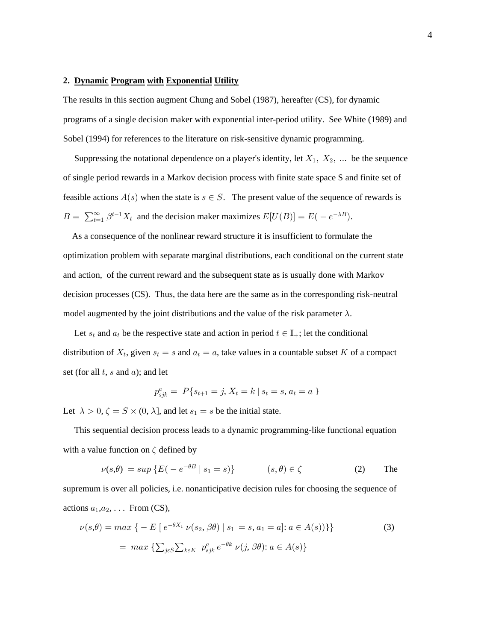#### 2. Dynamic Program with Exponential Utility

The results in this section augment Chung and Sobel (1987), hereafter (CS), for dynamic programs of a single decision maker with exponential inter-period utility. See White (1989) and Sobel (1994) for references to the literature on risk-sensitive dynamic programming.

Suppressing the notational dependence on a player's identity, let  $X_1$ ,  $X_2$ , ... be the sequence of single period rewards in a Markov decision process with finite state space S and finite set of feasible actions  $A(s)$  when the state is  $s \in S$ . The present value of the sequence of rewards is  $B = \sum_{t=1}^{\infty} \beta^{t-1} X_t$  and the decision maker maximizes  $E[U(B)] = E(-e^{-\lambda B}).$ 

As a consequence of the nonlinear reward structure it is insufficient to formulate the optimization problem with separate marginal distributions, each conditional on the current state and action, of the current reward and the subsequent state as is usually done with Markov decision processes (CS). Thus, the data here are the same as in the corresponding risk-neutral model augmented by the joint distributions and the value of the risk parameter  $\lambda$ .

Let  $s_t$  and  $a_t$  be the respective state and action in period  $t \in \mathbb{I}_+$ ; let the conditional distribution of  $X_t$ , given  $s_t = s$  and  $a_t = a$ , take values in a countable subset K of a compact set (for all  $t$ ,  $s$  and  $a$ ); and let

$$
p_{sjk}^a = P\{s_{t+1} = j, X_t = k \mid s_t = s, a_t = a\}
$$

Let  $\lambda > 0$ ,  $\zeta = S \times (0, \lambda]$ , and let  $s_1 = s$  be the initial state.

This sequential decision process leads to a dynamic programming-like functional equation with a value function on  $\zeta$  defined by

$$
\nu(s,\theta) = \sup \{ E(-e^{-\theta B} \mid s_1 = s) \} \qquad (s,\theta) \in \zeta \qquad (2) \qquad \text{The}
$$

supremum is over all policies, i.e. nonanticipative decision rules for choosing the sequence of actions  $a_1, a_2, \ldots$  From (CS),

$$
\nu(s,\theta) = \max \left\{ -E \left[ e^{-\theta X_1} \nu(s_2, \beta \theta) \mid s_1 = s, a_1 = a \right] : a \in A(s)) \right\}
$$
  
= 
$$
\max \left\{ \sum_{j \in S} \sum_{k \in K} p_{sjk}^a e^{-\theta k} \nu(j, \beta \theta) : a \in A(s) \right\}
$$
 (3)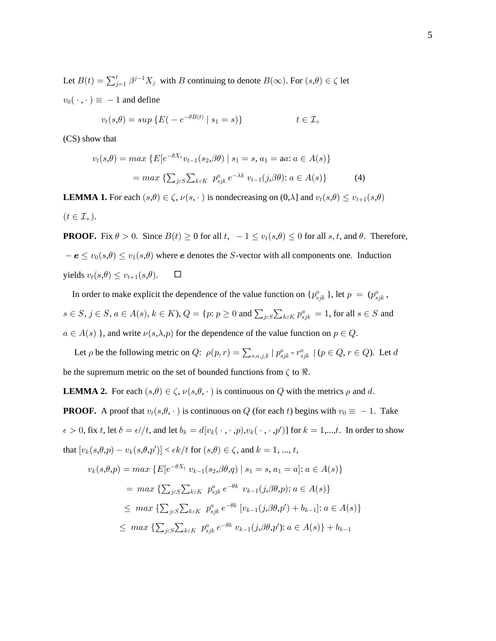Let  $B(t) = \sum_{j=1}^t \beta^{j-1} X_j$  with B continuing to denote  $B(\infty)$ . For  $(s,\theta) \in \zeta$  let  $v_0(\cdot, \cdot) \equiv -1$  and define

$$
v_t(s,\theta) = \sup \left\{ E(-e^{-\theta B(t)} \mid s_1 = s) \right\} \qquad \qquad t \in \mathcal{I}_+
$$

(CS) show that

$$
v_t(s,\theta) = \max \{ E[e^{-\theta X_1} v_{t-1}(s_2,\beta\theta) \mid s_1 = s, a_1 = aa : a \in A(s) \}
$$

$$
= \max \{ \sum_{j \in S} \sum_{k \in K} p_{sjk}^a e^{-\lambda k} v_{t-1}(j,\beta\theta) : a \in A(s) \}
$$
(4)

**LEMMA 1.** For each  $(s, \theta) \in \zeta$ ,  $\nu(s, \cdot)$  is nondecreasing on  $(0, \lambda]$  and  $v_t(s, \theta) \leq v_{t+1}(s, \theta)$  $(t \in \mathcal{I}_+).$ 

**PROOF.** Fix  $\theta > 0$ . Since  $B(t) \ge 0$  for all  $t$ ,  $-1 \le v_t(s, \theta) \le 0$  for all  $s, t$ , and  $\theta$ . Therefore,  $-\mathbf{e} \le v_0(s,\theta) \le v_1(s,\theta)$  where  $\mathbf{e}$  denotes the *S*-vector with all components one. Induction yields  $v_t(s, \theta) \leq v_{t+1}(s, \theta)$ .  $\Box$ 

In order to make explicit the dependence of the value function on  $\{p_{sjk}^a\}$ , let  $p = (p_{sjk}^a, \dots, p_{sjk}^a\})$  $s \in S$ ,  $j \in S$ ,  $a \in A(s)$ ,  $k \in K$ ),  $Q = {p : p \ge 0}$  and  $\sum_{j \in S} \sum_{k \in K} p_{sjk}^a = 1$ , for all  $s \in S$  and  $a \in A(s)$ , and write  $\nu(s, \lambda, p)$  for the dependence of the value function on  $p \in Q$ .

Let  $\rho$  be the following metric on  $Q: \rho(p, r) = \sum_{s, a, j, k} | p_{sjk}^a - r_{sjk}^a | (p \in Q, r \in Q)$ . Let d be the supremum metric on the set of bounded functions from  $\zeta$  to  $\Re$ .

**LEMMA 2.** For each  $(s, \theta) \in \zeta$ ,  $\nu(s, \theta, \cdot)$  is continuous on Q with the metrics  $\rho$  and d.

**PROOF.** A proof that  $v_t(s, \theta, \cdot)$  is continuous on Q (for each t) begins with  $v_0 \equiv -1$ . Take  $\epsilon > 0$ , fix t, let  $\delta = \epsilon / t$ , and let  $b_k = d[v_k(\cdot, \cdot, p), v_k(\cdot, \cdot, p')]$  for  $k = 1, \dots, t$ . In order to show that  $[v_k(s, \theta, p) - v_k(s, \theta, p')] < \epsilon k/t$  for  $(s, \theta) \in \zeta$ , and  $k = 1, ..., t$ ,

$$
v_k(s,\theta,p) = \max \{ E[e^{-\theta X_1} v_{k-1}(s_2,\theta \theta, q) | s_1 = s, a_1 = a] : a \in A(s) \}
$$
  
= 
$$
\max \{ \sum_{j \in S} \sum_{k \in K} p_{sjk}^a e^{-\theta k} v_{k-1}(j,\theta \theta, p) : a \in A(s) \}
$$
  

$$
\leq \max \{ \sum_{j \in S} \sum_{k \in K} p_{sjk}^a e^{-\theta k} [v_{k-1}(j,\theta \theta, p') + b_{k-1}] : a \in A(s) \}
$$
  

$$
\leq \max \{ \sum_{j \in S} \sum_{k \in K} p_{sjk}^a e^{-\theta k} v_{k-1}(j,\theta \theta, p') : a \in A(s) \} + b_{k-1}
$$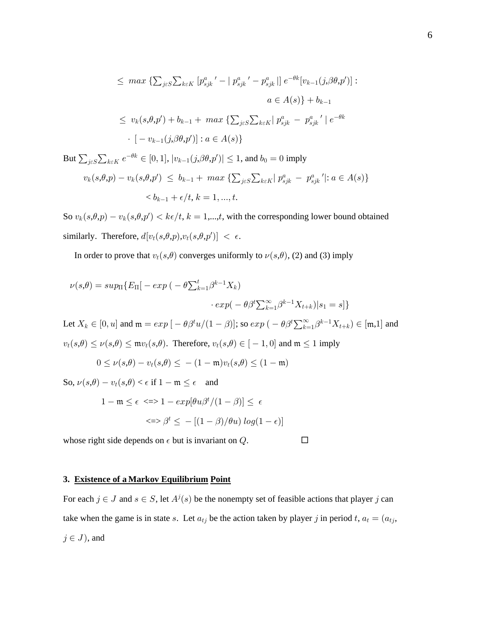$$
\leq \max \left\{ \sum_{j \in S} \sum_{k \in K} \left[ p_{sjk}^{a}{}' - \left| p_{sjk}^{a}{}' - p_{sjk}^{a} \right| \right] e^{-\theta k} [v_{k-1}(j,\beta \theta, p')] : \right. \\ \left. \alpha \in A(s) \right\} + b_{k-1} \\ \leq v_k(s, \theta, p') + b_{k-1} + \max \left\{ \sum_{j \in S} \sum_{k \in K} \left| p_{sjk}^{a} - p_{sjk}^{a}{}' \right| e^{-\theta k} \right. \\ \left. \cdot \left[ -v_{k-1}(j,\beta \theta, p') \right] : a \in A(s) \right\}
$$

But  $\sum_{j\in S}\sum_{k\in K}e^{-\theta k}\in [0,1], |v_{k-1}(j,\theta,\theta,p')|\leq 1$ , and  $b_0=0$  imply

$$
v_k(s, \theta, p) - v_k(s, \theta, p') \le b_{k-1} + \max \left\{ \sum_{j \in S} \sum_{k \in K} | p_{sjk}^a - p_{sjk}^a' | : a \in A(s) \right\}
$$
  

$$
< b_{k-1} + \epsilon/t, k = 1, ..., t.
$$

So  $v_k(s, \theta, p) - v_k(s, \theta, p') < k\epsilon/t$ ,  $k = 1, \dots, t$ , with the corresponding lower bound obtained similarly. Therefore,  $d[v_t(s, \theta, p), v_t(s, \theta, p')] < \epsilon$ .

In order to prove that  $v_t(s, \theta)$  converges uniformly to  $\nu(s, \theta)$ , (2) and (3) imply

$$
\nu(s,\theta) = \sup \left\{ E_{\Pi} \left[ -\exp\left( -\theta \sum_{k=1}^t \beta^{k-1} X_k \right) \right. \right. \\ \left. + \exp\left( -\theta \beta^t \sum_{k=1}^\infty \beta^{k-1} X_{t+k} \right) \middle| s_1 = s \right] \right\}
$$

Let  $X_k \in [0, u]$  and  $\mathfrak{m} = exp \left[ -\theta \beta^t u/(1-\beta) \right]$ ; so  $exp \left( -\theta \beta^t \sum_{k=1}^{\infty} \beta^{k-1} X_{t+k} \right) \in [\mathfrak{m}, 1]$  and  $v_t(s,\theta) \le \nu(s,\theta) \le \mathfrak{m}v_t(s,\theta)$ . Therefore,  $v_t(s,\theta) \in [-1,0]$  and  $\mathfrak{m} \le 1$  imply

$$
0\leq \nu(s,\theta)-v_t(s,\theta)\leq\,-\,(1-\mathfrak{m})v_t(s,\theta)\leq (1-\mathfrak{m})
$$

So,  $\nu(s,\theta) - v_t(s,\theta) < \epsilon$  if  $1 - \mathfrak{m} \leq \epsilon$  and

$$
1 - m \le \epsilon \iff 1 - exp[\theta u \beta^t / (1 - \beta)] \le \epsilon
$$
  

$$
\iff \beta^t \le -[(1 - \beta) / \theta u] log(1 - \epsilon)]
$$

whose right side depends on  $\epsilon$  but is invariant on  $Q$ .

## 3. Existence of a Markov Equilibrium Point

For each  $j \in J$  and  $s \in S$ , let  $A^{j}(s)$  be the nonempty set of feasible actions that player j can take when the game is in state s. Let  $a_{tj}$  be the action taken by player j in period t,  $a_t = (a_{tj}, a_t)$  $j \in J$ ), and

 $\Box$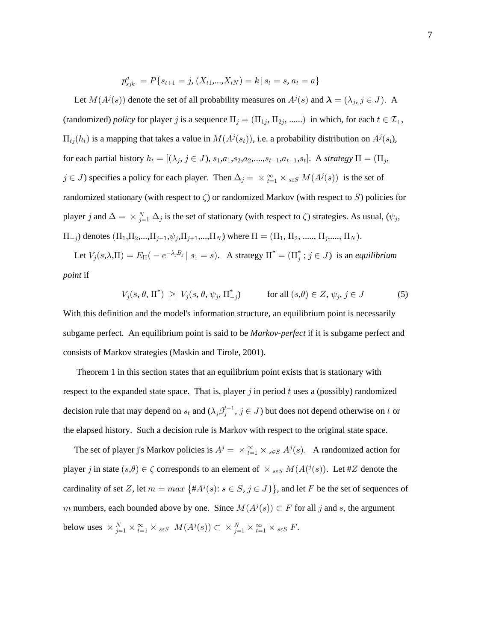$$
p_{sjk}^a = P\{s_{t+1} = j, (X_{t1},...,X_{tN}) = k \, | \, s_t = s, a_t = a\}
$$

Let  $M(A^j(s))$  denote the set of all probability measures on  $A^j(s)$  and  $\lambda = (\lambda_j, j \in J)$ . A (randomized) *policy* for player j is a sequence  $\Pi_j = (\Pi_{1j}, \Pi_{2j}, \dots)$  in which, for each  $t \in \mathcal{I}_+$ ,  $\Pi_{tj}(h_t)$  is a mapping that takes a value in  $M(A^j(s_t))$ , i.e. a probability distribution on  $A^j(s_t)$ , for each partial history , ), , , , ,...., , , . A , 2 œ ÒÐ 4 − N = + = + = + = Ó œ Ð > 4 " " # # >" >" > 4 - CC *strategy*  $j \in J$ ) specifies a policy for each player. Then  $\Delta_j = \times_{i=1}^{\infty} \times_{s \in S} M(A^{j}(s))$  is the set of randomized stationary (with respect to  $\zeta$ ) or randomized Markov (with respect to S) policies for player j and  $\Delta = \times_{j=1}^N \Delta_j$  is the set of stationary (with respect to  $\zeta$ ) strategies. As usual,  $(\psi_j, \phi_j)$  $\Pi_{-j}$ ) denotes  $(\Pi_1, \Pi_2, ..., \Pi_{j-1}, \psi_j, \Pi_{j+1}, ..., \Pi_N)$  where  $\Pi = (\Pi_1, \Pi_2, ..., \Pi_j, ..., \Pi_N)$ .

Let  $V_j(s, \lambda, \Pi) = E_{\Pi}(-e^{-\lambda_j B_j} | s_1 = s)$ . A strategy  $\Pi^* = (\Pi_j^* ; j \in J)$  is an *equilibrium point* if

$$
V_j(s, \theta, \Pi^*) \ge V_j(s, \theta, \psi_j, \Pi^*_{-j}) \qquad \text{for all } (s, \theta) \in Z, \psi_j, j \in J \tag{5}
$$

With this definition and the model's information structure, an equilibrium point is necessarily subgame perfect. An equilibrium point is said to be *Markov-perfect* if it is subgame perfect and consists of Markov strategies (Maskin and Tirole, 2001).

 Theorem 1 in this section states that an equilibrium point exists that is stationary with respect to the expanded state space. That is, player  $j$  in period  $t$  uses a (possibly) randomized decision rule that may depend on  $s_t$  and  $(\lambda_j \beta_j^{t-1}, j \in J)$  but does not depend otherwise on t or the elapsed history. Such a decision rule is Markov with respect to the original state space.

The set of player j's Markov policies is  $A^j = \times_{i=1}^{\infty} \times_{s \in S} A^j(s)$ . A randomized action for player j in state  $(s, \theta) \in \zeta$  corresponds to an element of  $\times_{s \in S} M(A(\iota^j(s)))$ . Let #Z denote the cardinality of set Z, let  $m = max \{ #A<sup>j</sup>(s): s \in S, j \in J \}$ , and let F be the set of sequences of  $m$  numbers, each bounded above by one. Since  $M(A^j(s)) \subset F$  for all  $j$  and  $s$ , the argument below uses  $\times_{j=1}^N \times_{i=1}^{\infty} \times_{s \in S} M(A^j(s)) \subset \times_{j=1}^N \times_{i=1}^{\infty} \times_{s \in S} F$ .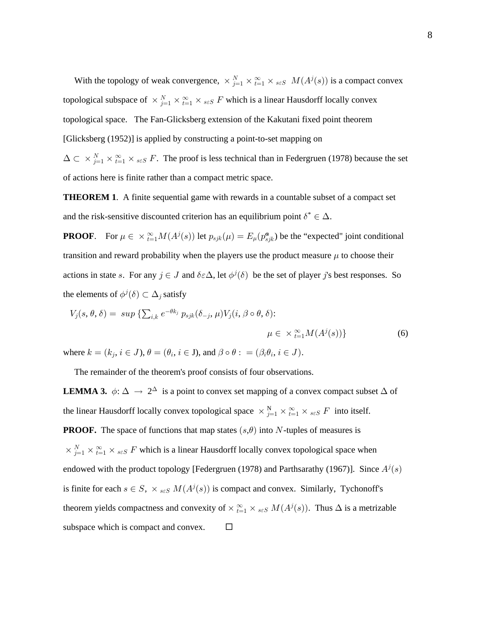With the topology of weak convergence,  $\times_{j=1}^{N} \times_{i=1}^{\infty} \times_{s \in S} M(A^{j}(s))$  is a compact convex topological subspace of  $\times_{j=1}^{N} \times_{i=1}^{\infty} \times_{s \in S} F$  which is a linear Hausdorff locally convex topological space. The Fan-Glicksberg extension of the Kakutani fixed point theorem [Glicksberg (1952)] is applied by constructing a point-to-set mapping on  $\Delta \subset \times_{j=1}^{N} \times \sum_{t=1}^{\infty} \times_{s \in S} F$ . The proof is less technical than in Federgruen (1978) because the set of actions here is finite rather than a compact metric space.

**THEOREM 1.** A finite sequential game with rewards in a countable subset of a compact set and the risk-sensitive discounted criterion has an equilibrium point  $\delta^* \in \Delta.$ 

**PROOF.** For  $\mu \in \times_{t=1}^{\infty} M(A^{j}(s))$  let  $p_{sjk}(\mu) = E_{\mu}(p_{sjk}^{a})$  be the "expected" joint conditional transition and reward probability when the players use the product measure  $\mu$  to choose their actions in state s. For any  $j \in J$  and  $\delta \in \Delta$ , let  $\phi^{j}(\delta)$  be the set of player j's best responses. So the elements of  $\phi^j(\delta) \subset \Delta_j$  satisfy

$$
V_j(s, \theta, \delta) = \sup \left\{ \sum_{i,k} e^{-\theta k_j} p_{sjk}(\delta_{-j}, \mu) V_j(i, \beta \circ \theta, \delta) : \right. \\
\mu \in \times_{t=1}^{\infty} M(A^j(s)) \}
$$
\n(6)

where  $k = (k_j, i \in J)$ ,  $\theta = (\theta_i, i \in J)$ , and  $\beta \circ \theta : = (\beta_i \theta_i, i \in J)$ .

The remainder of the theorem's proof consists of four observations.

**LEMMA 3.**  $\phi: \Delta \to 2^{\Delta}$  is a point to convex set mapping of a convex compact subset  $\Delta$  of the linear Hausdorff locally convex topological space  $\times_{j=1}^{N} \times_{i=1}^{\infty} \times_{s \in S} F$  into itself. **PROOF.** The space of functions that map states  $(s, \theta)$  into N-tuples of measures is  $\times_{j=1}^{N} \times_{t=1}^{\infty} \times_{s \in S} F$  which is a linear Hausdorff locally convex topological space when endowed with the product topology [Federgruen (1978) and Parthsarathy (1967)]. Since  $A^j(s)$ is finite for each  $s \in S$ ,  $\times_{s \in S} M(A^j(s))$  is compact and convex. Similarly, Tychonoff's theorem yields compactness and convexity of  $\times_{t=1}^{\infty} \times_{s \in S} M(A^{j}(s))$ . Thus  $\Delta$  is a metrizable subspace which is compact and convex.  $\Box$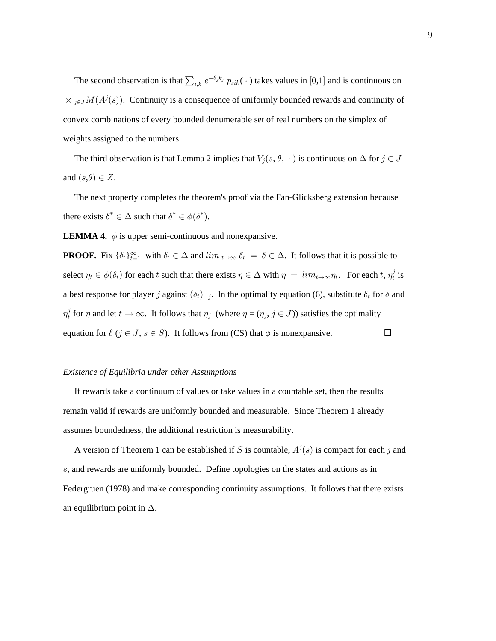The second observation is that  $\sum_{i,k} e^{-\theta_j k_j} p_{sik}(\cdot)$  takes values in [0,1] and is continuous on  $\times_{j\in J} M(A^j(s))$ . Continuity is a consequence of uniformly bounded rewards and continuity of convex combinations of every bounded denumerable set of real numbers on the simplex of weights assigned to the numbers.

The third observation is that Lemma 2 implies that  $V_j(s, \theta, \cdot)$  is continuous on  $\Delta$  for  $j \in J$ and  $(s,\theta) \in Z$ .

The next property completes the theorem's proof via the Fan-Glicksberg extension because there exists  $\delta^* \in \Delta$  such that  $\delta^* \in \phi(\delta^*)$ .

**LEMMA 4.**  $\phi$  is upper semi-continuous and nonexpansive.

**PROOF.** Fix  $\{\delta_t\}_{t=1}^{\infty}$  with  $\delta_t \in \Delta$  and  $\lim_{t \to \infty} \delta_t = \delta \in \Delta$ . It follows that it is possible to select  $\eta_t \in \phi(\delta_t)$  for each t such that there exists  $\eta \in \Delta$  with  $\eta = \lim_{t \to \infty} \eta_t$ . For each t,  $\eta_t^j$  is a best response for player j against  $(\delta_t)_{-j}$ . In the optimality equation (6), substitute  $\delta_t$  for  $\delta$  and  $\eta_t^j$  for  $\eta$  and let  $t \to \infty$ . It follows that  $\eta_j$  (where  $\eta = (\eta_j, j \in J)$ ) satisfies the optimality equation for  $\delta$  ( $j \in J$ ,  $s \in S$ ). It follows from (CS) that  $\phi$  is nonexpansive.  $\Box$ 

### Existence of Equilibria under other Assumptions

If rewards take a continuum of values or take values in a countable set, then the results remain valid if rewards are uniformly bounded and measurable. Since Theorem 1 already assumes boundedness, the additional restriction is measurability.

A version of Theorem 1 can be established if S is countable,  $A^{j}(s)$  is compact for each j and s, and rewards are uniformly bounded. Define topologies on the states and actions as in Federgruen (1978) and make corresponding continuity assumptions. It follows that there exists an equilibrium point in  $\Delta$ .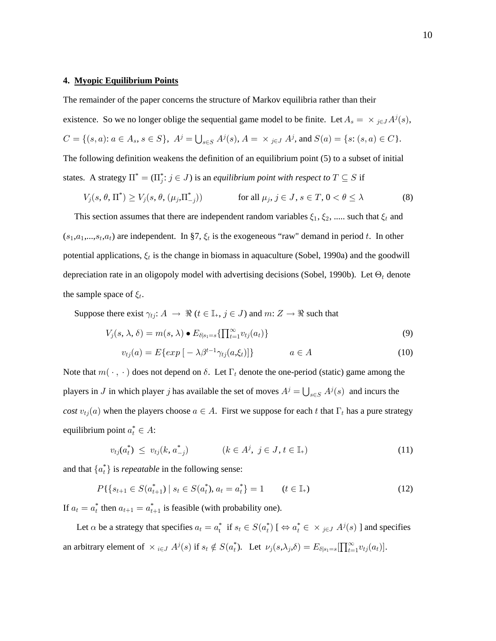#### 4. Myopic Equilibrium Points

The remainder of the paper concerns the structure of Markov equilibria rather than their

existence. So we no longer oblige the sequential game model to be finite. Let  $A_s = \times_{j \in J} A^j(s)$ ,  $C = \{ (s,a) \colon a \in A_s, s \in S \}, \ A^j = \bigcup_{s \in S} A^j(s), A = \ \times_{j \in J} A^j, \text{and } S(a) = \{ s \colon (s,a) \in C \}.$ The following definition weakens the definition of an equilibrium point  $(5)$  to a subset of initial states. A strategy  $\Pi^* = (\Pi_j^* : j \in J)$  is an *equilibrium point with respect to*  $T \subseteq S$  if

$$
V_j(s, \theta, \Pi^*) \ge V_j(s, \theta, (\mu_j, \Pi_{-j}^*)) \qquad \text{for all } \mu_j, j \in J, s \in T, 0 < \theta \le \lambda
$$
 (8)

This section assumes that there are independent random variables  $\xi_1, \xi_2, \dots$  such that  $\xi_t$  and  $(s_1, a_1, \ldots, s_t, a_t)$  are independent. In §7,  $\xi_t$  is the exogeneous "raw" demand in period t. In other potential applications,  $\xi_t$  is the change in biomass in aquaculture (Sobel, 1990a) and the goodwill depreciation rate in an oligopoly model with advertising decisions (Sobel, 1990b). Let  $\Theta_t$  denote the sample space of  $\xi_t$ .

Suppose there exist  $\gamma_{tj}: A \rightarrow \Re (t \in \mathbb{I}_{+}, j \in J)$  and  $m: Z \rightarrow \Re$  such that

$$
V_j(s, \lambda, \delta) = m(s, \lambda) \bullet E_{\delta | s_1 = s} \{ \prod_{t=1}^{\infty} v_{tj}(a_t) \}
$$
\n
$$
(9)
$$

$$
v_{tj}(a) = E\{exp\left[-\lambda\beta^{t-1}\gamma_{tj}(a,\xi_t)\right]\} \qquad a \in A \tag{10}
$$

Note that  $m(\cdot, \cdot)$  does not depend on  $\delta$ . Let  $\Gamma_t$  denote the one-period (static) game among the players in J in which player j has available the set of moves  $A^j = \bigcup_{s \in S} A^j(s)$  and incurs the cost  $v_{tj}(a)$  when the players choose  $a \in A$ . First we suppose for each t that  $\Gamma_t$  has a pure strategy equilibrium point  $a_t^* \in A$ :

$$
v_{tj}(a_t^*) \leq v_{tj}(k, a_{-j}^*) \qquad (k \in A^j, j \in J, t \in \mathbb{I}_+)
$$
\n(11)

and that  $\{a_t^*\}$  is *repeatable* in the following sense:

$$
P\{\{s_{t+1}\in S(a_{t+1}^*) \mid s_t \in S(a_t^*), a_t = a_t^*\} = 1 \qquad (t \in \mathbb{I}_+)
$$
\n
$$
(12)
$$

If  $a_t = a_t^*$  then  $a_{t+1} = a_{t+1}^*$  is feasible (with probability one).

Let  $\alpha$  be a strategy that specifies  $a_t = a_t^*$  if  $s_t \in S(a_t^*)$   $[\Leftrightarrow a_t^* \in \times_{j \in J} A^j(s)]$  and specifies an arbitrary element of  $\times_{i\in J} A^j(s)$  if  $s_t \notin S(a_t^*)$ . Let  $\nu_j(s,\lambda_j,\delta) = E_{\delta|s_1=s}[\prod_{t=1}^{\infty} v_{tj}(a_t)].$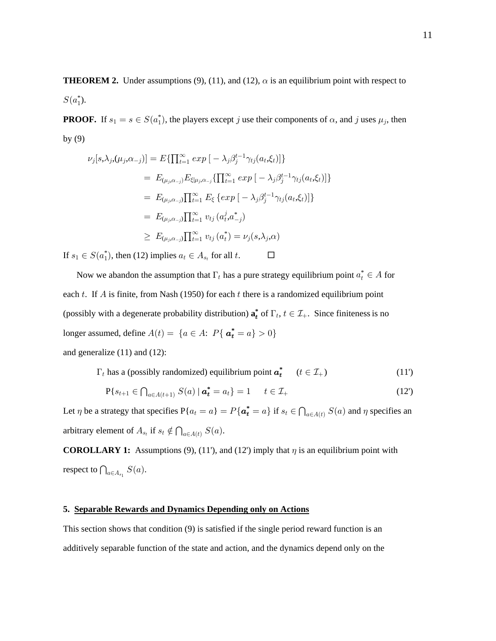**THEOREM 2.** Under assumptions (9), (11), and (12),  $\alpha$  is an equilibrium point with respect to  $S(a_1^*).$ 

**PROOF.** If  $s_1 = s \in S(a_1^*)$ , the players except j use their components of  $\alpha$ , and j uses  $\mu_j$ , then by  $(9)$ 

$$
\nu_j[s,\lambda_j,(\mu_j,\alpha_{-j})] = E\{\prod_{t=1}^{\infty} exp\left[-\lambda_j \beta_j^{t-1} \gamma_{tj}(a_t,\xi_t)\right]\}
$$
  
\n
$$
= E_{(\mu_j,\alpha_{-j})} E_{\xi|\mu_j,\alpha_{-j}}\{\prod_{t=1}^{\infty} exp\left[-\lambda_j \beta_j^{t-1} \gamma_{tj}(a_t,\xi_t)\right]\}
$$
  
\n
$$
= E_{(\mu_j,\alpha_{-j})}\prod_{t=1}^{\infty} E_{\xi} \{exp\left[-\lambda_j \beta_j^{t-1} \gamma_{tj}(a_t,\xi_t)\right]\}
$$
  
\n
$$
= E_{(\mu_j,\alpha_{-j})}\prod_{t=1}^{\infty} v_{tj}(a_t^j,a_{-j}^*)
$$
  
\n
$$
\geq E_{(\mu_j,\alpha_{-j})}\prod_{t=1}^{\infty} v_{tj}(a_t^*) = \nu_j(s,\lambda_j,\alpha)
$$

If  $s_1 \in S(a_1^*)$ , then (12) implies  $a_t \in A_{s_t}$  for all t.

Now we abandon the assumption that  $\Gamma_t$  has a pure strategy equilibrium point  $a_t^* \in A$  for each t. If A is finite, from Nash (1950) for each t there is a randomized equilibrium point (possibly with a degenerate probability distribution)  $\mathbf{a}_t^*$  of  $\Gamma_t$ ,  $t \in \mathcal{I}_+$ . Since finiteness is no longer assumed, define  $A(t) = \{a \in A: P\{a_t^* = a\} > 0\}$ and generalize  $(11)$  and  $(12)$ :

 $\Gamma_t$  has a (possibly randomized) equilibrium point  $a_t^*$   $(t \in \mathcal{I}_+)$  $(11)$ 

$$
\mathbf{P}\{s_{t+1} \in \bigcap_{a \in A(t+1)} S(a) \mid \mathbf{a}_t^* = a_t\} = 1 \qquad t \in \mathcal{I}_+ \tag{12}
$$

 $\Box$ 

Let  $\eta$  be a strategy that specifies  $P\{a_t = a\} = P\{\boldsymbol{a}_t^* = a\}$  if  $s_t \in \bigcap_{a \in A(t)} S(a)$  and  $\eta$  specifies an arbitrary element of  $A_{s_t}$  if  $s_t \notin \bigcap_{a \in A(t)} S(a)$ .

**COROLLARY 1:** Assumptions (9), (11'), and (12') imply that  $\eta$  is an equilibrium point with respect to  $\bigcap_{a \in A_{s_1}} S(a)$ .

### 5. Separable Rewards and Dynamics Depending only on Actions

This section shows that condition (9) is satisfied if the single period reward function is an additively separable function of the state and action, and the dynamics depend only on the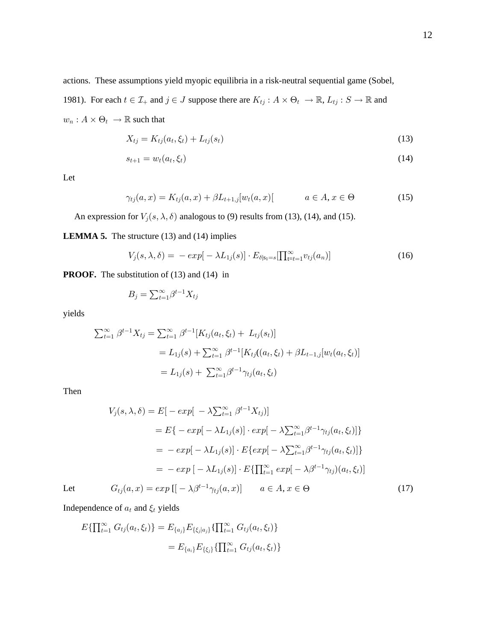actions. These assumptions yield myopic equilibria in a risk-neutral sequential game (Sobel,

1981). For each  $t \in \mathcal{I}_+$  and  $j \in J$  suppose there are  $K_{tj}: A \times \Theta_t \to \mathbb{R}$ ,  $L_{tj}: S \to \mathbb{R}$  and  $w_n: A \times \Theta_t \rightarrow \mathbb{R}$  such that

$$
X_{tj} = K_{tj}(a_t, \xi_t) + L_{tj}(s_t)
$$
\n(13)

$$
s_{t+1} = w_t(a_t, \xi_t) \tag{14}
$$

Let

$$
\gamma_{tj}(a, x) = K_{tj}(a, x) + \beta L_{t+1,j}[w_t(a, x)] \qquad a \in A, x \in \Theta
$$
 (15)

An expression for  $V_j(s, \lambda, \delta)$  analogous to (9) results from (13), (14), and (15).

**LEMMA 5.** The structure  $(13)$  and  $(14)$  implies

$$
V_j(s,\lambda,\delta) = -\exp[-\lambda L_{1j}(s)] \cdot E_{\delta|s_1=s}[\prod_{t=t-1}^{\infty} v_{tj}(a_n)] \tag{16}
$$

**PROOF.** The substitution of  $(13)$  and  $(14)$  in

$$
B_j = \sum_{t=1}^{\infty} \beta^{t-1} X_{tj}
$$

yields

$$
\sum_{t=1}^{\infty} \beta^{t-1} X_{tj} = \sum_{t=1}^{\infty} \beta^{t-1} [K_{tj}(a_t, \xi_t) + L_{tj}(s_t)]
$$
  
=  $L_{1j}(s) + \sum_{t=1}^{\infty} \beta^{t-1} [K_{tj}((a_t, \xi_t) + \beta L_{t-1,j}[w_t(a_t, \xi_t)]$   
=  $L_{1j}(s) + \sum_{t=1}^{\infty} \beta^{t-1} \gamma_{tj}(a_t, \xi_t)$ 

Then

$$
V_j(s, \lambda, \delta) = E[-\exp[-\lambda \sum_{t=1}^{\infty} \beta^{t-1} X_{tj}]]
$$
  
\n
$$
= E\{-\exp[-\lambda L_{1j}(s)] \cdot \exp[-\lambda \sum_{t=1}^{\infty} \beta^{t-1} \gamma_{tj}(a_t, \xi_t)]\}
$$
  
\n
$$
= -\exp[-\lambda L_{1j}(s)] \cdot E\{\exp[-\lambda \sum_{t=1}^{\infty} \beta^{t-1} \gamma_{tj}(a_t, \xi_t)]\}
$$
  
\n
$$
= -\exp[-\lambda L_{1j}(s)] \cdot E\{\prod_{t=1}^{\infty} \exp[-\lambda \beta^{t-1} \gamma_{tj}(a_t, \xi_t)]
$$
  
\n
$$
G_{tj}(a, x) = \exp[[-\lambda \beta^{t-1} \gamma_{tj}(a, x)] \quad a \in A, x \in \Theta
$$
\n(17)

Let

Independence of 
$$
a_t
$$
 and  $\xi_t$  yields

$$
E\{\prod_{t=1}^{\infty} G_{tj}(a_t, \xi_t)\} = E_{\{a_j\}} E_{\{\xi_j|a_j\}}\{\prod_{t=1}^{\infty} G_{tj}(a_t, \xi_t)\}
$$
  
= 
$$
E_{\{a_i\}} E_{\{\xi_j\}}\{\prod_{t=1}^{\infty} G_{tj}(a_t, \xi_t)\}
$$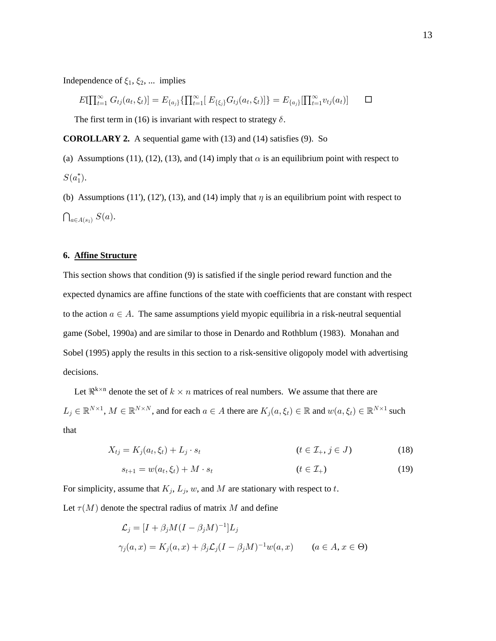Independence of  $\xi_1, \xi_2, \dots$  implies

$$
E[\prod_{t=1}^{\infty} G_{tj}(a_t, \xi_t)] = E_{\{a_j\}}\{\prod_{t=1}^{\infty} [E_{\{\xi_j\}} G_{tj}(a_t, \xi_t)]\} = E_{\{a_j\}}[\prod_{t=1}^{\infty} v_{tj}(a_t)] \qquad \Box
$$

The first term in (16) is invariant with respect to strategy  $\delta$ .

**COROLLARY 2.** A sequential game with  $(13)$  and  $(14)$  satisfies  $(9)$ . So

(a) Assumptions (11), (12), (13), and (14) imply that  $\alpha$  is an equilibrium point with respect to  $S(a_1^*).$ 

(b) Assumptions (11'), (12'), (13), and (14) imply that  $\eta$  is an equilibrium point with respect to  $\bigcap_{a \in A(s_1)} S(a).$ 

## 6. Affine Structure

This section shows that condition (9) is satisfied if the single period reward function and the expected dynamics are affine functions of the state with coefficients that are constant with respect to the action  $a \in A$ . The same assumptions yield myopic equilibria in a risk-neutral sequential game (Sobel, 1990a) and are similar to those in Denardo and Rothblum (1983). Monahan and Sobel (1995) apply the results in this section to a risk-sensitive oligopoly model with advertising decisions.

Let  $\Re^{k \times n}$  denote the set of  $k \times n$  matrices of real numbers. We assume that there are  $L_j \in \mathbb{R}^{N \times 1}$ ,  $M \in \mathbb{R}^{N \times N}$ , and for each  $a \in A$  there are  $K_j(a, \xi_t) \in \mathbb{R}$  and  $w(a, \xi_t) \in \mathbb{R}^{N \times 1}$  such that

$$
X_{tj} = K_j(a_t, \xi_t) + L_j \cdot s_t \qquad (t \in \mathcal{I}_+, j \in J) \tag{18}
$$

$$
s_{t+1} = w(a_t, \xi_t) + M \cdot s_t \qquad (t \in \mathcal{I}_+)
$$

For simplicity, assume that  $K_j$ ,  $L_j$ , w, and M are stationary with respect to t.

Let  $\tau(M)$  denote the spectral radius of matrix M and define

$$
\mathcal{L}_j = [I + \beta_j M (I - \beta_j M)^{-1}] L_j
$$
  

$$
\gamma_j(a, x) = K_j(a, x) + \beta_j \mathcal{L}_j (I - \beta_j M)^{-1} w(a, x) \qquad (a \in A, x \in \Theta)
$$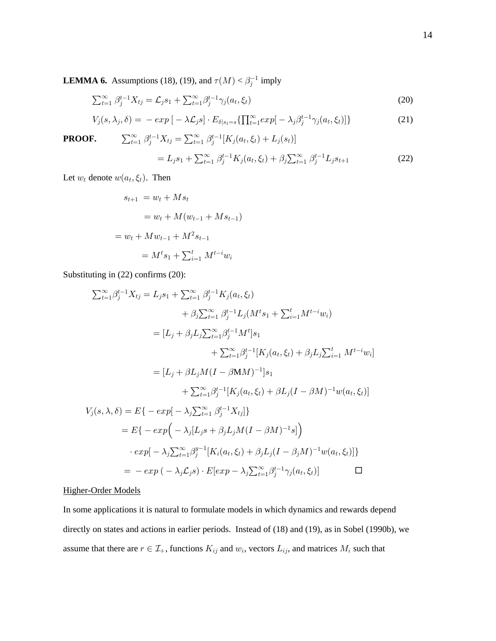**LEMMA 6.** Assumptions (18), (19), and  $\tau(M) < \beta_j^{-1}$  imply

$$
\sum_{t=1}^{\infty} \beta_j^{t-1} X_{tj} = \mathcal{L}_j s_1 + \sum_{t=1}^{\infty} \beta_j^{t-1} \gamma_j(a_t, \xi_t)
$$
 (20)

$$
V_j(s, \lambda_j, \delta) = -\exp\left[-\lambda \mathcal{L}_j s\right] \cdot E_{\delta|s_1 = s} \{ \prod_{t=1}^{\infty} \exp\left[-\lambda_j \beta_j^{t-1} \gamma_j(a_t, \xi_t)\right] \}
$$
(21)  
F. 
$$
\sum_{t=1}^{\infty} \beta_j^{t-1} X_{tj} = \sum_{t=1}^{\infty} \beta_j^{t-1} [K_j(a_t, \xi_t) + L_j(s_t)]
$$

PROOF.

$$
= L_j s_1 + \sum_{t=1}^{\infty} \beta_j^{t-1} K_j(a_t, \xi_t) + \beta_j \sum_{t=1}^{\infty} \beta_j^{t-1} L_j s_{t+1}
$$
 (22)

Let  $w_t$  denote  $w(a_t, \xi_t)$ . Then

$$
s_{t+1} = w_t + M s_t
$$
  
=  $w_t + M(w_{t-1} + M s_{t-1})$   
=  $w_t + M w_{t-1} + M^2 s_{t-1}$   
=  $M^t s_1 + \sum_{i=1}^t M^{t-i} w_i$ 

Substituting in (22) confirms (20):

$$
\sum_{t=1}^{\infty} \beta_{j}^{t-1} X_{tj} = L_{j} s_{1} + \sum_{t=1}^{\infty} \beta_{j}^{t-1} K_{j} (a_{t}, \xi_{t})
$$
  
+  $\beta_{j} \sum_{t=1}^{\infty} \beta_{j}^{t-1} L_{j} (M^{t} s_{1} + \sum_{i=1}^{t} M^{t-i} w_{i})$   
=  $[L_{j} + \beta_{j} L_{j} \sum_{t=1}^{\infty} \beta_{j}^{t-1} M^{t}] s_{1}$   
+  $\sum_{t=1}^{\infty} \beta_{j}^{t-1} [K_{j} (a_{t}, \xi_{t}) + \beta_{j} L_{j} \sum_{i=1}^{t} M^{t-i} w_{i}]$   
=  $[L_{j} + \beta L_{j} M (I - \beta M M)^{-1}] s_{1}$   
+  $\sum_{t=1}^{\infty} \beta_{j}^{t-1} [K_{j} (a_{t}, \xi_{t}) + \beta L_{j} (I - \beta M)^{-1} w (a_{t}, \xi_{t})]$   
 $V_{j} (s, \lambda, \delta) = E \{- exp[-\lambda_{j} \sum_{t=1}^{\infty} \beta_{j}^{t-1} X_{tj}] \}$   
=  $E \{- exp[-\lambda_{j} [L_{j} s + \beta_{j} L_{j} M (I - \beta M)^{-1} s] \}$   
 $\cdot exp[-\lambda_{j} \sum_{t=1}^{\infty} \beta_{j}^{y-1} [K_{i} (a_{t}, \xi_{t}) + \beta_{j} L_{j} (I - \beta_{j} M)^{-1} w (a_{t}, \xi_{t})] \}$ 

$$
= - \exp \left( - \lambda_j \mathcal{L}_j s \right) \cdot E[\exp - \lambda_j \sum_{t=1}^{\infty} \beta_j^{t-1} \gamma_j(a_t, \xi_t)] \qquad \qquad \Box
$$

## **Higher-Order Models**

In some applications it is natural to formulate models in which dynamics and rewards depend directly on states and actions in earlier periods. Instead of (18) and (19), as in Sobel (1990b), we assume that there are  $r \in \mathcal{I}_+$ , functions  $K_{ij}$  and  $w_i$ , vectors  $L_{ij}$ , and matrices  $M_i$  such that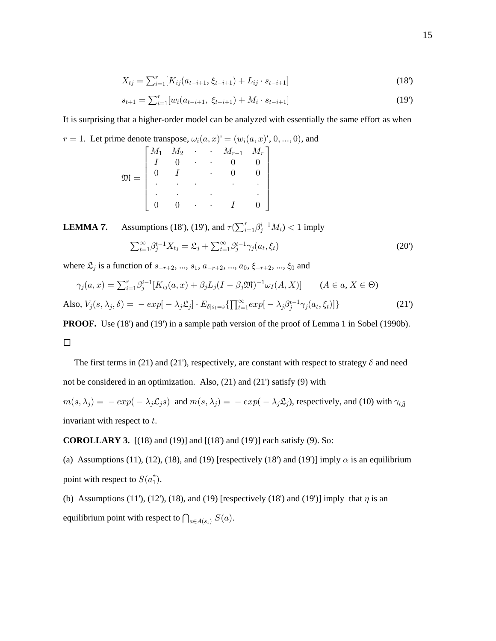$$
X_{tj} = \sum_{i=1}^{r} [K_{ij}(a_{t-i+1}, \xi_{t-i+1}) + L_{ij} \cdot s_{t-i+1}] \tag{18'}
$$

$$
s_{t+1} = \sum_{i=1}^{r} [w_i(a_{t-i+1}, \xi_{t-i+1}) + M_i \cdot s_{t-i+1}] \tag{19}
$$

It is surprising that a higher-order model can be analyzed with essentially the same effort as when

 $r = 1$ . Let prime denote transpose,  $\omega_i(a, x) = (w_i(a, x), 0, ..., 0)$ , and

|                  |                                                                                                                |  | $M_{r-1}$ $M_r$ |  |
|------------------|----------------------------------------------------------------------------------------------------------------|--|-----------------|--|
| $\mathfrak{M} =$ | $\begin{array}{ccccccccc} & M_1 & M_2 & & \cdot & & \cdot & \\ \mid & I & & 0 & & \cdot & & \cdot \end{array}$ |  |                 |  |
|                  |                                                                                                                |  |                 |  |
|                  |                                                                                                                |  |                 |  |
|                  |                                                                                                                |  |                 |  |
|                  |                                                                                                                |  |                 |  |

Assumptions (18'), (19'), and  $\tau(\sum_{i=1}^r \beta_j^{i-1} M_i) < 1$  imply LEMMA 7.

$$
\sum_{t=1}^{\infty} \beta_j^{t-1} X_{tj} = \mathfrak{L}_j + \sum_{t=1}^{\infty} \beta_j^{t-1} \gamma_j(a_t, \xi_t)
$$
\n(20')

where  $\mathfrak{L}_j$  is a function of  $s_{-r+2}, ..., s_1, a_{-r+2}, ..., a_0, \xi_{-r+2}, ..., \xi_0$  and

$$
\gamma_j(a, x) = \sum_{i=1}^r \beta_j^{i-1} [K_{ij}(a, x) + \beta_j L_j (I - \beta_j \mathfrak{M})^{-1} \omega_I(A, X)] \qquad (A \in a, X \in \Theta)
$$
  
Also,  $V_j(s, \lambda_j, \delta) = -\exp[-\lambda_j \mathfrak{L}_j] \cdot E_{\delta | s_1 = s} \{ \prod_{i=1}^\infty \exp[-\lambda_j \beta_j^{t-1} \gamma_j(a_t, \xi_t)] \}$  (21')

**PROOF.** Use (18') and (19') in a sample path version of the proof of Lemma 1 in Sobel (1990b).

## $\Box$

The first terms in (21) and (21), respectively, are constant with respect to strategy  $\delta$  and need not be considered in an optimization. Also,  $(21)$  and  $(21')$  satisfy  $(9)$  with

 $m(s,\lambda_j) = -\exp(-\lambda_j \mathcal{L}_j s)$  and  $m(s,\lambda_j) = -\exp(-\lambda_j \mathcal{L}_j)$ , respectively, and (10) with  $\gamma_{tjj}$ invariant with respect to  $t$ .

**COROLLARY 3.**  $[(18)$  and  $(19)]$  and  $[(18')$  and  $(19')]$  each satisfy  $(9)$ . So:

(a) Assumptions (11), (12), (18), and (19) [respectively (18') and (19')] imply  $\alpha$  is an equilibrium point with respect to  $S(a_1^*)$ .

(b) Assumptions (11'), (12'), (18), and (19) [respectively (18') and (19')] imply that  $\eta$  is an equilibrium point with respect to  $\bigcap_{a \in A(s_1)} S(a)$ .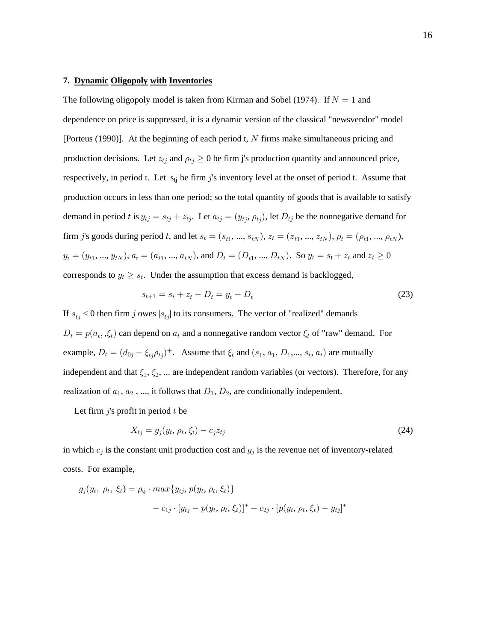#### **7. Dynamic Oligopoly with Inventories**

The following oligopoly model is taken from Kirman and Sobel (1974). If  $N = 1$  and dependence on price is suppressed, it is a dynamic version of the classical "newsvendor" model [Porteus (1990)]. At the beginning of each period t,  $N$  firms make simultaneous pricing and production decisions. Let  $z_{tj}$  and  $\rho_{tj} \geq 0$  be firm j's production quantity and announced price, respectively, in period t. Let  $s_{ti}$  be firm j's inventory level at the onset of period t. Assume that production occurs in less than one period; so the total quantity of goods that is available to satisfy demand in period t is  $y_{tj} = s_{tj} + z_{tj}$ . Let  $a_{tj} = (y_{tj}, \rho_{tj})$ , let  $D_{tj}$  be the nonnegative demand for firm j's goods during period t, and let  $s_t = (s_{t1}, ..., s_{tN})$ ,  $z_t = (z_{t1}, ..., z_{tN})$ ,  $\rho_t = (\rho_{t1}, ..., \rho_{tN})$ ,  $y_t = (y_{t1}, ..., y_{tN}), a_t = (a_{t1}, ..., a_{tN}),$  and  $D_t = (D_{t1}, ..., D_{tN}).$  So  $y_t = s_t + z_t$  and  $z_t \ge 0$ corresponds to  $y_t \geq s_t$ . Under the assumption that excess demand is backlogged,

$$
s_{t+1} = s_t + z_t - D_t = y_t - D_t \tag{23}
$$

If  $s_{tj}$  < 0 then firm j owes  $|s_{tj}|$  to its consumers. The vector of "realized" demands  $D_t = p(a_t, \xi_t)$  can depend on  $a_t$  and a nonnegative random vector  $\xi_t$  of "raw" demand. For example,  $D_t = (d_{0j} - \xi_{tj} \rho_{tj})^+$ . Assume that  $\xi_t$  and  $(s_1, a_1, D_1, ..., s_t, a_t)$  are mutually independent and that  $\xi_1, \xi_2, ...$  are independent random variables (or vectors). Therefore, for any realization of  $a_1, a_2, ...,$  it follows that  $D_1, D_2$ , are conditionally independent.

Let firm  $j$ 's profit in period  $t$  be

$$
X_{tj} = g_j(y_t, \rho_t, \xi_t) - c_j z_{tj} \tag{24}
$$

in which  $c_j$  is the constant unit production cost and  $g_j$  is the revenue net of inventory-related costs. For example,

$$
g_j(y_t, \rho_t, \xi_t) = \rho_{ij} \cdot max\{y_{tj}, p(y_t, \rho_t, \xi_t)\} - c_{1j} \cdot [y_{tj} - p(y_t, \rho_t, \xi_t)]^+ - c_{2j} \cdot [p(y_t, \rho_t, \xi_t) - y_{tj}]^+
$$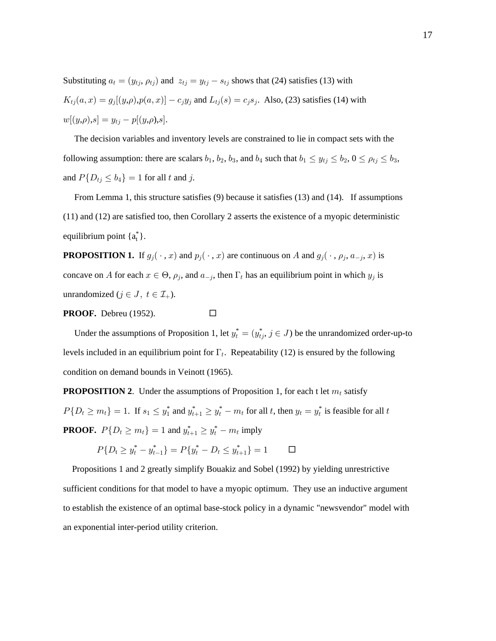Substituting  $a_t = (y_{tj}, \rho_{tj})$  and  $z_{tj} = y_{tj} - s_{tj}$  shows that (24) satisfies (13) with  $K_{tj}(a, x) = g_j[(y, \rho), p(a, x)] - c_j y_j$  and  $L_{tj}(s) = c_j s_j$ . Also, (23) satisfies (14) with  $w[(y,\rho),s] = y_{tj} - p[(y,\rho),s].$ 

The decision variables and inventory levels are constrained to lie in compact sets with the following assumption: there are scalars  $b_1$ ,  $b_2$ ,  $b_3$ , and  $b_4$  such that  $b_1 \le y_{tj} \le b_2$ ,  $0 \le \rho_{tj} \le b_3$ , and  $P\{D_{tj} \leq b_4\} = 1$  for all t and j.

From Lemma 1, this structure satisfies  $(9)$  because it satisfies  $(13)$  and  $(14)$ . If assumptions  $(11)$  and  $(12)$  are satisfied too, then Corollary 2 asserts the existence of a myopic deterministic equilibrium point  $\{a_t^*\}$ .

**PROPOSITION 1.** If  $g_j(\cdot, x)$  and  $p_j(\cdot, x)$  are continuous on A and  $g_j(\cdot, \rho_j, a_{-j}, x)$  is concave on A for each  $x \in \Theta$ ,  $\rho_j$ , and  $a_{-j}$ , then  $\Gamma_t$  has an equilibrium point in which  $y_j$  is unrandomized  $(j \in J, t \in \mathcal{I}_+$ ).

 $\Box$ 

PROOF. Debreu (1952).

Under the assumptions of Proposition 1, let 
$$
y_t^* = (y_{tj}^*, j \in J)
$$
 be the unrandomized order-up-to  
levels included in an equilibrium point for  $\Gamma_t$ . Repeatability (12) is ensured by the following  
condition on demand bounds in Veinott (1965).

**PROPOSITION 2.** Under the assumptions of Proposition 1, for each t let  $m_t$  satisfy  $P\{D_t \ge m_t\} = 1$ . If  $s_1 \le y_1^*$  and  $y_{t+1}^* \ge y_t^* - m_t$  for all t, then  $y_t = y_t^*$  is feasible for all t **PROOF.**  $P\{D_t \ge m_t\} = 1$  and  $y_{t+1}^* \ge y_t^* - m_t$  imply

> $P\{D_t \geq y_t^* - y_{t-1}^*\} = P\{y_t^* - D_t \leq y_{t+1}^*\} = 1$  $\Box$

Propositions 1 and 2 greatly simplify Bouakiz and Sobel (1992) by yielding unrestrictive sufficient conditions for that model to have a myopic optimum. They use an inductive argument to establish the existence of an optimal base-stock policy in a dynamic "newsvendor" model with an exponential inter-period utility criterion.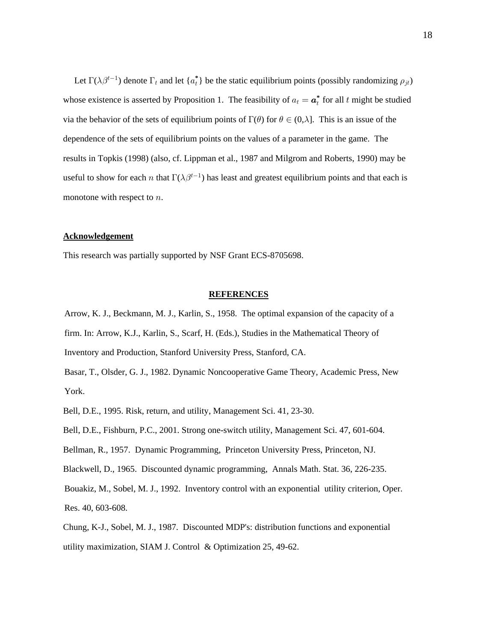Let  $\Gamma(\lambda \beta^{t-1})$  denote  $\Gamma_t$  and let  $\{a_t^*\}$  be the static equilibrium points (possibly randomizing  $\rho_{jt}$ ) whose existence is asserted by Proposition 1. The feasibility of  $a_t = \boldsymbol{a}_t^*$  for all t might be studied via the behavior of the sets of equilibrium points of  $\Gamma(\theta)$  for  $\theta \in (0, \lambda]$ . This is an issue of the dependence of the sets of equilibrium points on the values of a parameter in the game. The results in Topkis (1998) (also, cf. Lippman et al., 1987 and Milgrom and Roberts, 1990) may be useful to show for each n that  $\Gamma(\lambda \beta^{t-1})$  has least and greatest equilibrium points and that each is monotone with respect to  $n$ .

#### **Acknowledgement**

This research was partially supported by NSF Grant ECS-8705698.

#### **REFERENCES**

Arrow, K. J., Beckmann, M. J., Karlin, S., 1958. The optimal expansion of the capacity of a firm. In: Arrow, K.J., Karlin, S., Scarf, H. (Eds.), Studies in the Mathematical Theory of Inventory and Production, Stanford University Press, Stanford, CA.

Basar, T., Olsder, G. J., 1982. Dynamic Noncooperative Game Theory, Academic Press, New York.

Bell, D.E., 1995. Risk, return, and utility, Management Sci. 41, 23-30.

Bell, D.E., Fishburn, P.C., 2001. Strong one-switch utility, Management Sci. 47, 601-604.

Bellman, R., 1957. Dynamic Programming, Princeton University Press, Princeton, NJ.

Blackwell, D., 1965. Discounted dynamic programming, Annals Math. Stat. 36, 226-235.

Bouakiz, M., Sobel, M. J., 1992. Inventory control with an exponential utility criterion, Oper. Res. 40, 603-608.

Chung, K-J., Sobel, M. J., 1987. Discounted MDP's: distribution functions and exponential utility maximization, SIAM J. Control & Optimization 25, 49-62.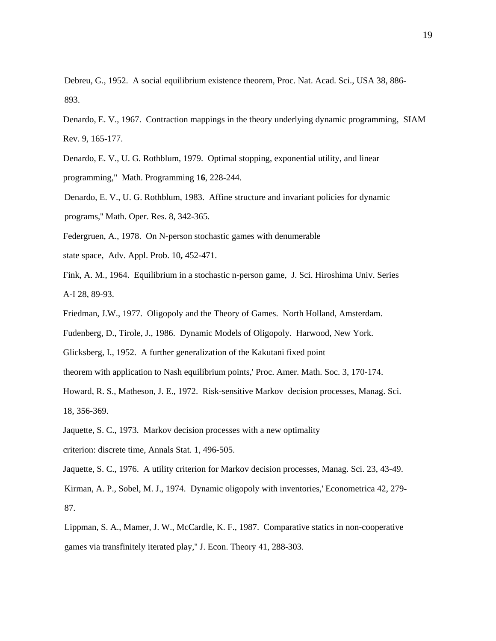Debreu, G., 1952. A social equilibrium existence theorem, Proc. Nat. Acad. Sci., USA 38, 886- 893.

Denardo, E. V., 1967. Contraction mappings in the theory underlying dynamic programming, SIAM Rev. 9, 165-177.

Denardo, E. V., U. G. Rothblum, 1979. Optimal stopping, exponential utility, and linear programming," Math. Programming 16, 228-244.

Denardo, E. V., U. G. Rothblum, 1983. Affine structure and invariant policies for dynamic programs,'' Math. Oper. Res. 8, 342-365.

Federgruen, A., 1978. On N-person stochastic games with denumerable

state space, Adv. Appl. Prob. 10, 452-471.

Fink, A. M., 1964. Equilibrium in a stochastic n-person game, J. Sci. Hiroshima Univ. Series A-I 28, 89-93.

Friedman, J.W., 1977. Oligopoly and the Theory of Games. North Holland, Amsterdam.

Fudenberg, D., Tirole, J., 1986. Dynamic Models of Oligopoly. Harwood, New York.

Glicksberg, I., 1952. A further generalization of the Kakutani fixed point

theorem with application to Nash equilibrium points,' Proc. Amer. Math. Soc. 3, 170-174.

Howard, R. S., Matheson, J. E., 1972. Risk-sensitive Markov decision processes, Manag. Sci. 18, 356-369.

- Jaquette, S. C., 1973. Markov decision processes with a new optimality
- criterion: discrete time, Annals Stat. 1, 496-505.

Jaquette, S. C., 1976. A utility criterion for Markov decision processes, Manag. Sci. 23, 43-49.

Kirman, A. P., Sobel, M. J., 1974. Dynamic oligopoly with inventories,' Econometrica 42, 279- 87.

Lippman, S. A., Mamer, J. W., McCardle, K. F., 1987. Comparative statics in non-cooperative games via transfinitely iterated play,'' J. Econ. Theory 41, 288-303.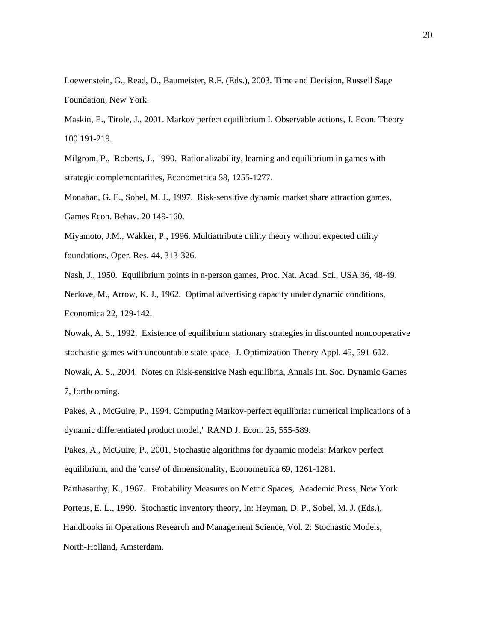Loewenstein, G., Read, D., Baumeister, R.F. (Eds.), 2003. Time and Decision, Russell Sage Foundation, New York.

Maskin, E., Tirole, J., 2001. Markov perfect equilibrium I. Observable actions, J. Econ. Theory 100 191-219.

Milgrom, P., Roberts, J., 1990. Rationalizability, learning and equilibrium in games with strategic complementarities, Econometrica 58, 1255-1277.

Monahan, G. E., Sobel, M. J., 1997. Risk-sensitive dynamic market share attraction games, Games Econ. Behav. 20 149-160.

Miyamoto, J.M., Wakker, P., 1996. Multiattribute utility theory without expected utility foundations, Oper. Res. 44, 313-326.

Nash, J., 1950. Equilibrium points in n-person games, Proc. Nat. Acad. Sci., USA 36, 48-49. Nerlove, M., Arrow, K. J., 1962. Optimal advertising capacity under dynamic conditions, Economica 22, 129-142.

Nowak, A. S., 1992. Existence of equilibrium stationary strategies in discounted noncooperative stochastic games with uncountable state space, J. Optimization Theory Appl. 45, 591-602.

Nowak, A. S., 2004. Notes on Risk-sensitive Nash equilibria, Annals Int. Soc. Dynamic Games 7, forthcoming.

Pakes, A., McGuire, P., 1994. Computing Markov-perfect equilibria: numerical implications of a dynamic differentiated product model," RAND J. Econ. 25, 555-589.

Pakes, A., McGuire, P., 2001. Stochastic algorithms for dynamic models: Markov perfect equilibrium, and the 'curse' of dimensionality, Econometrica 69, 1261-1281.

Parthasarthy, K., 1967. Probability Measures on Metric Spaces, Academic Press, New York.

Porteus, E. L., 1990. Stochastic inventory theory, In: Heyman, D. P., Sobel, M. J. (Eds.),

Handbooks in Operations Research and Management Science, Vol. 2: Stochastic Models,

North-Holland, Amsterdam.